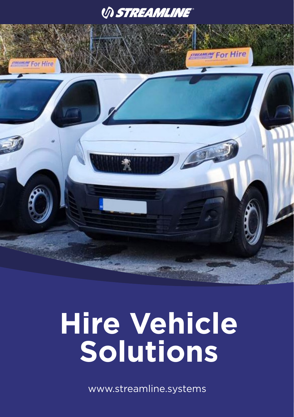## *VI STREAMLINE®*



# **Hire Vehicle Solutions**

www.streamline.systems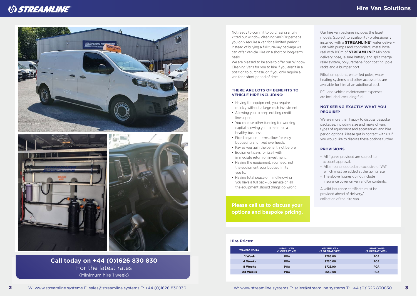## *VI STREAMLINE*





**Call today on +44 (0)1626 830 830** For the latest rates (Minimum hire 1 week)

Not ready to commit to purchasing a fully kitted out window cleaning van? Or perhaps you only require a van for a limited period? Instead of buying a full turn-key package we can offer Vehicle Hire on a short or long-term basis.

We are pleased to be able to offer our Window Cleaning Vans for you to hire if you aren't in a position to purchase, or if you only require a van for a short period of time.

#### **THERE ARE LOTS OF BENEFITS TO VEHICLE HIRE INCLUDING:**

- Having the equipment, you require quickly without a large cash investment.
- Allowing you to keep existing credit lines open.
- You can use other funding for working capital allowing you to maintain a healthy business.
- Fixed payment terms allow for easy budgeting and fixed overheads.
- Pay as you gain the benefit, not before.
- Equipment pays for itself with immediate return on investment.
- Having the equipment, you need, not the equipment your budget limits you to.
- Having total peace of mind knowing you have a full back-up service on all the equipment should things go wrong.

**Please call us to discuss your options and bespoke pricing.**

#### **Hire Prices:**

| <b>MEDIUM VAN</b><br>(2 OPERATIVES) | <b>LARGE VANS</b><br>(2 OPERATIVES) |
|-------------------------------------|-------------------------------------|
| £795.00                             | <b>POA</b>                          |
| £750.00                             | <b>POA</b>                          |
| £725.00                             | <b>POA</b>                          |
| £650.00                             | <b>POA</b>                          |
|                                     |                                     |

Our hire van package includes the latest models (subject to availability) professionally installed with a **STREAMLINE®** water delivery unit with pumps and controllers, metal hose reel with 100m of **STREAMLINE®** Minibore delivery hose, leisure battery and split charge relay system, polyurethane floor coating, pole racks and a bumper port.

Filtration options, water fed poles, water heating systems and other accessories are available for hire at an additional cost.

RFL and vehicle maintenance expenses are included, excluding fuel.

#### **NOT SEEING EXACTLY WHAT YOU REQUIRE?**

We are more than happy to discuss bespoke packages, including size and make of van, types of equipment and accessories, and hire period options. Please get in contact with us if you would like to discuss these options further.

#### **PROVISIONS**

- All figures provided are subject to account approval.
- All amounts quoted are exclusive of VAT which must be added at the going rate.
- The above figures do not include insurance cover on van and/or contents.

A valid insurance certificate must be provided ahead of delivery/ collection of the hire van.